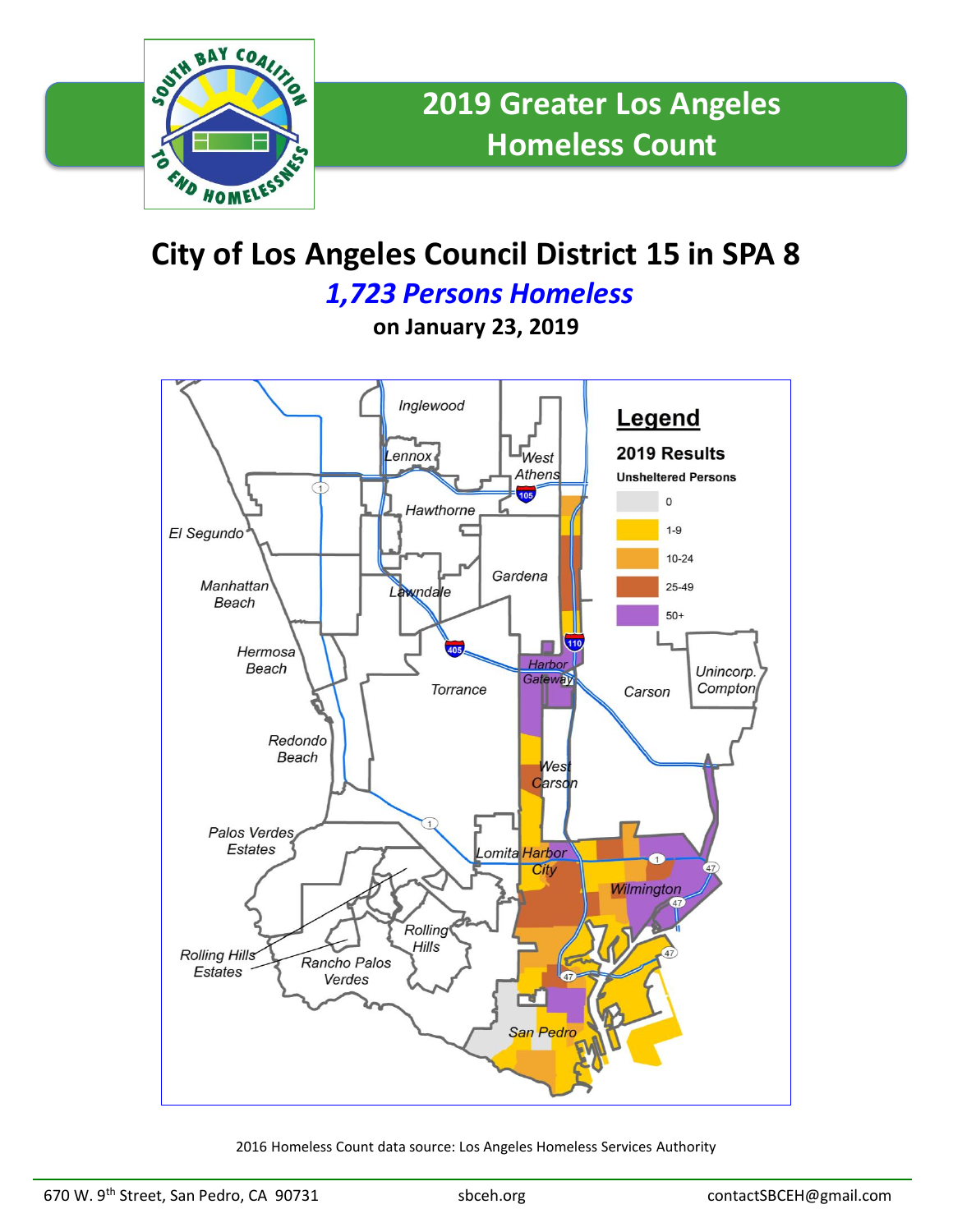

## **City of Los Angeles Council District 15 in SPA 8**

*1,723 Persons Homeless*

**on January 23, 2019**



2016 Homeless Count data source: Los Angeles Homeless Services Authority